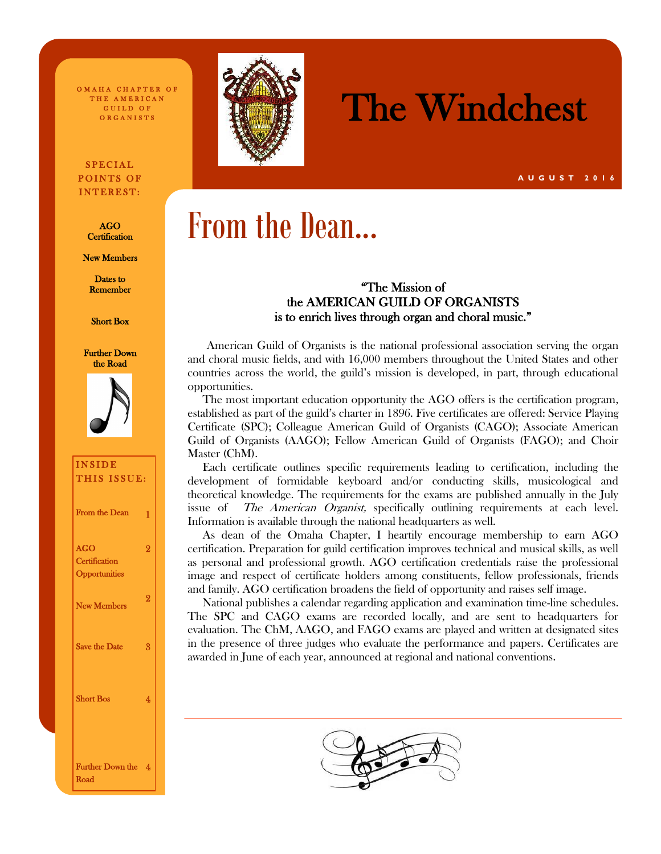O MAHA CHAPTER OF THE AMERICAN GUILD OF O R G A N I S T S

### **SPECIAL** POINTS OF INTEREST:

AGO **Certification** 

New Members

Dates to Remember

Short Box

Further Down the Road



| <b>INSIDE</b>                   |   |
|---------------------------------|---|
| THIS ISSUE:                     |   |
| From the Dean                   | 1 |
| <b>AGO</b>                      | 2 |
| Certification                   |   |
| Opportunities                   |   |
| <b>New Members</b>              | 2 |
| <b>Save the Date</b>            | 3 |
| <b>Short Bos</b>                | 4 |
| <b>Further Down the</b><br>Road | 4 |



# The Windchest

#### **A U G U S T 2 0 1 6**

# From the Dean...

### "The Mission of the AMERICAN GUILD OF ORGANISTS is to enrich lives through organ and choral music."

 American Guild of Organists is the national professional association serving the organ and choral music fields, and with 16,000 members throughout the United States and other countries across the world, the guild's mission is developed, in part, through educational opportunities.

 The most important education opportunity the AGO offers is the certification program, established as part of the guild's charter in 1896. Five certificates are offered: Service Playing Certificate (SPC); Colleague American Guild of Organists (CAGO); Associate American Guild of Organists (AAGO); Fellow American Guild of Organists (FAGO); and Choir Master (ChM).

 Each certificate outlines specific requirements leading to certification, including the development of formidable keyboard and/or conducting skills, musicological and theoretical knowledge. The requirements for the exams are published annually in the July issue of *The American Organist*, specifically outlining requirements at each level. Information is available through the national headquarters as well.

 As dean of the Omaha Chapter, I heartily encourage membership to earn AGO certification. Preparation for guild certification improves technical and musical skills, as well as personal and professional growth. AGO certification credentials raise the professional image and respect of certificate holders among constituents, fellow professionals, friends and family. AGO certification broadens the field of opportunity and raises self image.

 National publishes a calendar regarding application and examination time-line schedules. The SPC and CAGO exams are recorded locally, and are sent to headquarters for evaluation. The ChM, AAGO, and FAGO exams are played and written at designated sites in the presence of three judges who evaluate the performance and papers. Certificates are awarded in June of each year, announced at regional and national conventions.

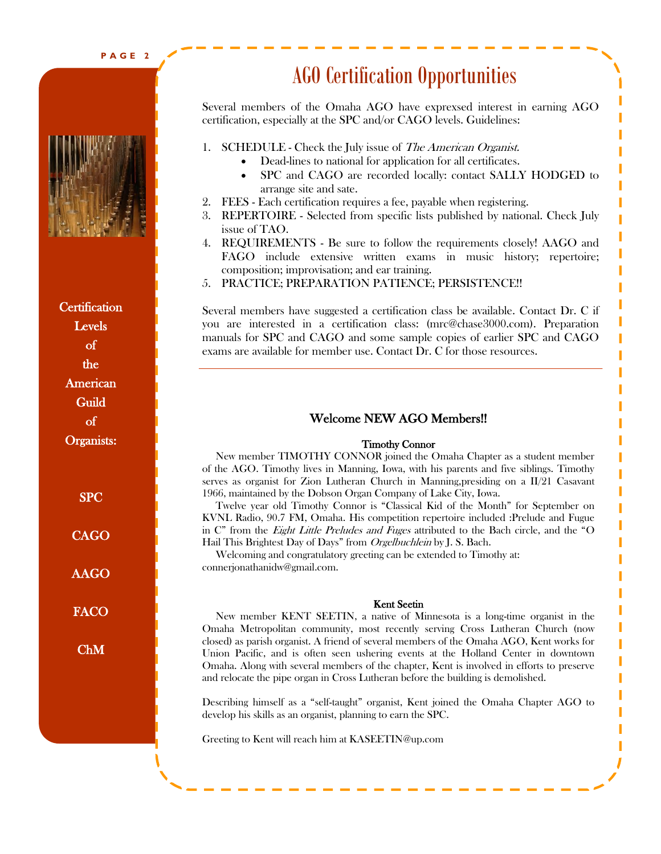**P A G E 2**



**Certification** Levels of the American **Guild** of Organists:

SPC

CAGO

AAGO

**FACO** 

ChM

## AGO Certification Opportunities

Several members of the Omaha AGO have exprexsed interest in earning AGO certification, especially at the SPC and/or CAGO levels. Guidelines:

- 1. SCHEDULE Check the July issue of The American Organist.
	- Dead-lines to national for application for all certificates.
	- SPC and CAGO are recorded locally: contact SALLY HODGED to arrange site and sate.
- 2. FEES Each certification requires a fee, payable when registering.
- 3. REPERTOIRE Selected from specific lists published by national. Check July issue of TAO.
- 4. REQUIREMENTS Be sure to follow the requirements closely! AAGO and FAGO include extensive written exams in music history; repertoire; composition; improvisation; and ear training.
- 5. PRACTICE; PREPARATION PATIENCE; PERSISTENCE!!

Several members have suggested a certification class be available. Contact Dr. C if you are interested in a certification class: (mrc@chase3000.com). Preparation manuals for SPC and CAGO and some sample copies of earlier SPC and CAGO exams are available for member use. Contact Dr. C for those resources.

### Welcome NEW AGO Members!!

### Timothy Connor

 New member TIMOTHY CONNOR joined the Omaha Chapter as a student member of the AGO. Timothy lives in Manning, Iowa, with his parents and five siblings. Timothy serves as organist for Zion Lutheran Church in Manning,presiding on a II/21 Casavant 1966, maintained by the Dobson Organ Company of Lake City, Iowa.

 Twelve year old Timothy Connor is "Classical Kid of the Month" for September on KVNL Radio, 90.7 FM, Omaha. His competition repertoire included :Prelude and Fugue in C" from the *Eight Little Preludes and Fuges* attributed to the Bach circle, and the "O Hail This Brightest Day of Days" from Orgelbuchlein by J. S. Bach.

 Welcoming and congratulatory greeting can be extended to Timothy at: connerjonathanidw@gmail.com.

### Kent Seetin

 New member KENT SEETIN, a native of Minnesota is a long-time organist in the Omaha Metropolitan community, most recently serving Cross Lutheran Church (now closed) as parish organist. A friend of several members of the Omaha AGO, Kent works for Union Pacific, and is often seen ushering events at the Holland Center in downtown Omaha. Along with several members of the chapter, Kent is involved in efforts to preserve and relocate the pipe organ in Cross Lutheran before the building is demolished.

Describing himself as a "self-taught" organist, Kent joined the Omaha Chapter AGO to develop his skills as an organist, planning to earn the SPC.

Greeting to Kent will reach him at KASEETIN@up.com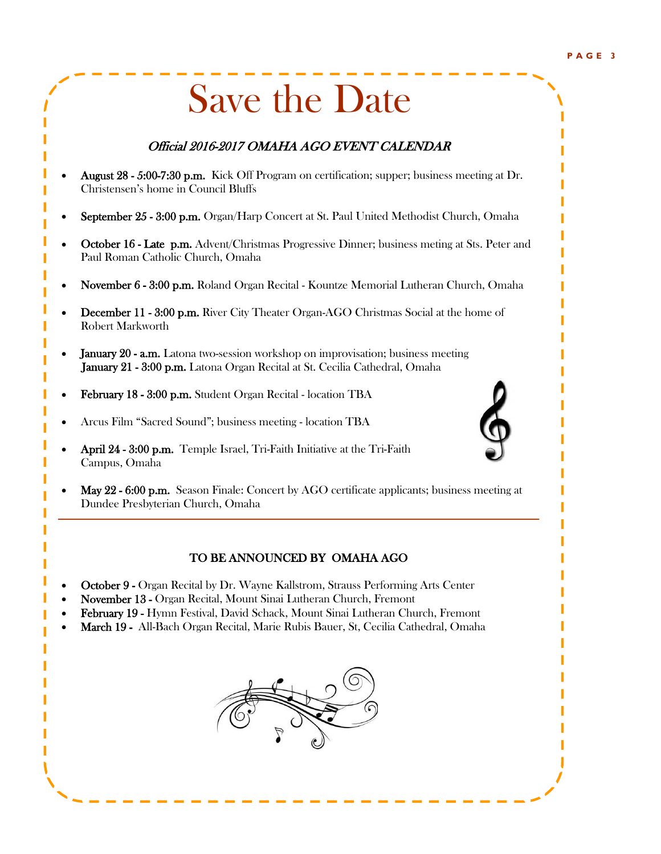# Save the Date

### Official 2016-2017 OMAHA AGO EVENT CALENDAR

- August 28 5:00-7:30 p.m. Kick Off Program on certification; supper; business meeting at Dr. Christensen's home in Council Bluffs
- September 25 3:00 p.m. Organ/Harp Concert at St. Paul United Methodist Church, Omaha
- October 16 Late p.m. Advent/Christmas Progressive Dinner; business meting at Sts. Peter and Paul Roman Catholic Church, Omaha
- November 6 3:00 p.m. Roland Organ Recital Kountze Memorial Lutheran Church, Omaha
- December 11 3:00 p.m. River City Theater Organ-AGO Christmas Social at the home of Robert Markworth
- **January 20 a.m.** Latona two-session workshop on improvisation; business meeting January 21 - 3:00 p.m. Latona Organ Recital at St. Cecilia Cathedral, Omaha
- February 18 3:00 p.m. Student Organ Recital location TBA
- Arcus Film "Sacred Sound"; business meeting location TBA
- April 24 3:00 p.m. Temple Israel, Tri-Faith Initiative at the Tri-Faith Campus, Omaha
- May 22 6:00 p.m. Season Finale: Concert by AGO certificate applicants; business meeting at Dundee Presbyterian Church, Omaha

### TO BE ANNOUNCED BY OMAHA AGO

- October 9 Organ Recital by Dr. Wayne Kallstrom, Strauss Performing Arts Center
- November 13 Organ Recital, Mount Sinai Lutheran Church, Fremont
- February 19 Hymn Festival, David Schack, Mount Sinai Lutheran Church, Fremont
- March 19 All-Bach Organ Recital, Marie Rubis Bauer, St, Cecilia Cathedral, Omaha